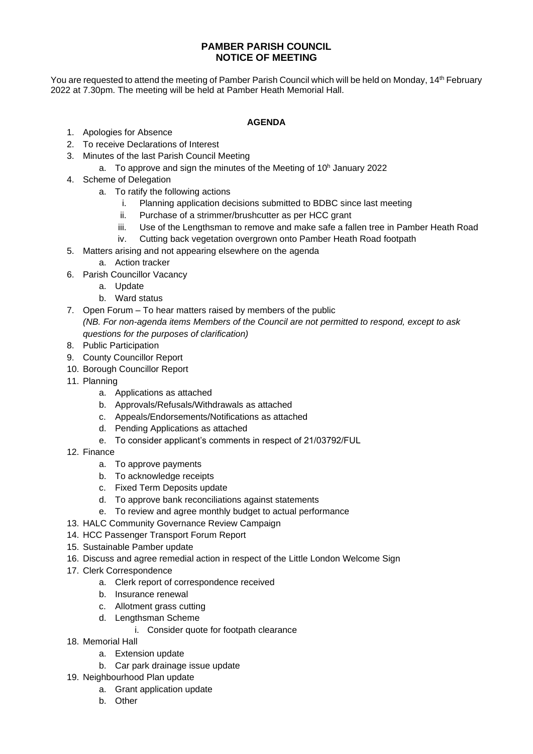## **PAMBER PARISH COUNCIL NOTICE OF MEETING**

You are requested to attend the meeting of Pamber Parish Council which will be held on Monday, 14<sup>th</sup> February 2022 at 7.30pm. The meeting will be held at Pamber Heath Memorial Hall.

## **AGENDA**

- 1. Apologies for Absence
- 2. To receive Declarations of Interest
- 3. Minutes of the last Parish Council Meeting
	- a. To approve and sign the minutes of the Meeting of 10<sup>h</sup> January 2022
- 4. Scheme of Delegation
	- a. To ratify the following actions
		- i. Planning application decisions submitted to BDBC since last meeting
		- ii. Purchase of a strimmer/brushcutter as per HCC grant
		- iii. Use of the Lengthsman to remove and make safe a fallen tree in Pamber Heath Road
		- iv. Cutting back vegetation overgrown onto Pamber Heath Road footpath
- 5. Matters arising and not appearing elsewhere on the agenda
	- a. Action tracker
- 6. Parish Councillor Vacancy
	- a. Update
	- b. Ward status
- 7. Open Forum To hear matters raised by members of the public *(NB. For non-agenda items Members of the Council are not permitted to respond, except to ask questions for the purposes of clarification)*
- 8. Public Participation
- 9. County Councillor Report
- 10. Borough Councillor Report
- 11. Planning
	- a. Applications as attached
	- b. Approvals/Refusals/Withdrawals as attached
	- c. Appeals/Endorsements/Notifications as attached
	- d. Pending Applications as attached
	- e. To consider applicant's comments in respect of 21/03792/FUL
- 12. Finance
	- a. To approve payments
	- b. To acknowledge receipts
	- c. Fixed Term Deposits update
	- d. To approve bank reconciliations against statements
	- e. To review and agree monthly budget to actual performance
- 13. HALC Community Governance Review Campaign
- 14. HCC Passenger Transport Forum Report
- 15. Sustainable Pamber update
- 16. Discuss and agree remedial action in respect of the Little London Welcome Sign
- 17. Clerk Correspondence
	- a. Clerk report of correspondence received
	- b. Insurance renewal
	- c. Allotment grass cutting
	- d. Lengthsman Scheme
		- i. Consider quote for footpath clearance
- 18. Memorial Hall
	- a. Extension update
	- b. Car park drainage issue update
- 19. Neighbourhood Plan update
	- a. Grant application update
	- b. Other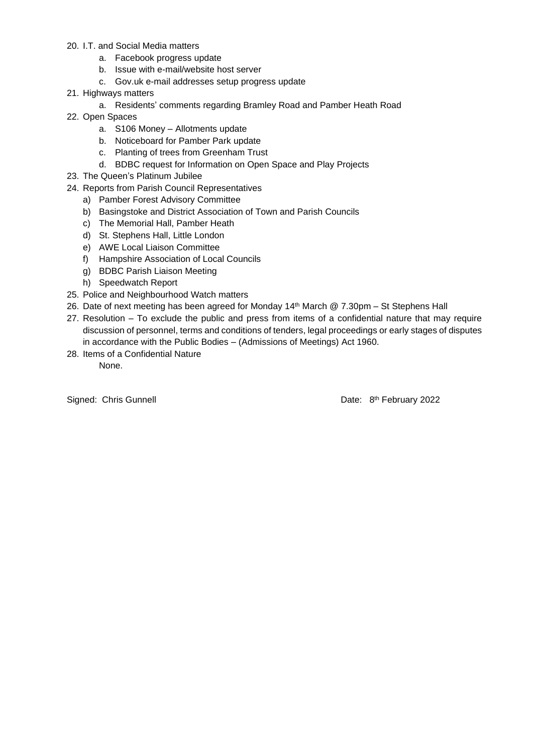- 20. I.T. and Social Media matters
	- a. Facebook progress update
	- b. Issue with e-mail/website host server
	- c. Gov.uk e-mail addresses setup progress update
- 21. Highways matters
	- a. Residents' comments regarding Bramley Road and Pamber Heath Road
- 22. Open Spaces
	- a. S106 Money Allotments update
	- b. Noticeboard for Pamber Park update
	- c. Planting of trees from Greenham Trust
	- d. BDBC request for Information on Open Space and Play Projects
- 23. The Queen's Platinum Jubilee
- 24. Reports from Parish Council Representatives
	- a) Pamber Forest Advisory Committee
	- b) Basingstoke and District Association of Town and Parish Councils
	- c) The Memorial Hall, Pamber Heath
	- d) St. Stephens Hall, Little London
	- e) AWE Local Liaison Committee
	- f) Hampshire Association of Local Councils
	- g) BDBC Parish Liaison Meeting
	- h) Speedwatch Report
- 25. Police and Neighbourhood Watch matters
- 26. Date of next meeting has been agreed for Monday 14<sup>th</sup> March @ 7.30pm St Stephens Hall
- 27. Resolution To exclude the public and press from items of a confidential nature that may require discussion of personnel, terms and conditions of tenders, legal proceedings or early stages of disputes in accordance with the Public Bodies – (Admissions of Meetings) Act 1960.
- 28. Items of a Confidential Nature None.

Signed: Chris Gunnell

Date: 8<sup>th</sup> February 2022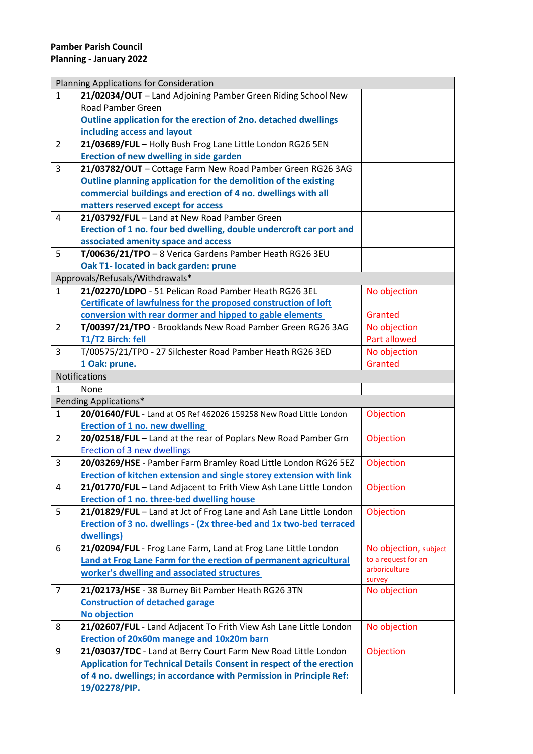| Planning Applications for Consideration |                                                                             |                       |  |
|-----------------------------------------|-----------------------------------------------------------------------------|-----------------------|--|
| $\mathbf{1}$                            | 21/02034/OUT - Land Adjoining Pamber Green Riding School New                |                       |  |
|                                         | Road Pamber Green                                                           |                       |  |
|                                         | Outline application for the erection of 2no. detached dwellings             |                       |  |
|                                         | including access and layout                                                 |                       |  |
| $\overline{2}$                          | 21/03689/FUL - Holly Bush Frog Lane Little London RG26 5EN                  |                       |  |
|                                         | Erection of new dwelling in side garden                                     |                       |  |
| 3                                       | 21/03782/OUT - Cottage Farm New Road Pamber Green RG26 3AG                  |                       |  |
|                                         | Outline planning application for the demolition of the existing             |                       |  |
|                                         | commercial buildings and erection of 4 no. dwellings with all               |                       |  |
|                                         | matters reserved except for access                                          |                       |  |
| 4                                       | 21/03792/FUL - Land at New Road Pamber Green                                |                       |  |
|                                         | Erection of 1 no. four bed dwelling, double undercroft car port and         |                       |  |
|                                         | associated amenity space and access                                         |                       |  |
| 5                                       | T/00636/21/TPO - 8 Verica Gardens Pamber Heath RG26 3EU                     |                       |  |
|                                         | Oak T1- located in back garden: prune                                       |                       |  |
|                                         | Approvals/Refusals/Withdrawals*                                             |                       |  |
| $\mathbf{1}$                            | 21/02270/LDPO - 51 Pelican Road Pamber Heath RG26 3EL                       | No objection          |  |
|                                         | Certificate of lawfulness for the proposed construction of loft             |                       |  |
|                                         | conversion with rear dormer and hipped to gable elements                    | Granted               |  |
| $\overline{2}$                          | T/00397/21/TPO - Brooklands New Road Pamber Green RG26 3AG                  | No objection          |  |
|                                         | T1/T2 Birch: fell                                                           | Part allowed          |  |
| 3                                       | T/00575/21/TPO - 27 Silchester Road Pamber Heath RG26 3ED                   | No objection          |  |
|                                         | 1 Oak: prune.                                                               | Granted               |  |
|                                         | Notifications                                                               |                       |  |
| 1                                       | None                                                                        |                       |  |
|                                         | Pending Applications*                                                       |                       |  |
| $\mathbf{1}$                            | 20/01640/FUL - Land at OS Ref 462026 159258 New Road Little London          | Objection             |  |
|                                         | Erection of 1 no. new dwelling                                              |                       |  |
| $\overline{2}$                          | 20/02518/FUL - Land at the rear of Poplars New Road Pamber Grn              | Objection             |  |
|                                         | Erection of 3 new dwellings                                                 |                       |  |
| 3                                       | 20/03269/HSE - Pamber Farm Bramley Road Little London RG26 5EZ              | Objection             |  |
|                                         | Erection of kitchen extension and single storey extension with link         |                       |  |
| 4                                       | 21/01770/FUL - Land Adjacent to Frith View Ash Lane Little London           | Objection             |  |
|                                         | Erection of 1 no. three-bed dwelling house                                  |                       |  |
| 5                                       | 21/01829/FUL - Land at Jct of Frog Lane and Ash Lane Little London          | Objection             |  |
|                                         | Erection of 3 no. dwellings - (2x three-bed and 1x two-bed terraced         |                       |  |
|                                         | dwellings)                                                                  |                       |  |
| 6                                       | 21/02094/FUL - Frog Lane Farm, Land at Frog Lane Little London              | No objection, subject |  |
|                                         | Land at Frog Lane Farm for the erection of permanent agricultural           | to a request for an   |  |
|                                         | worker's dwelling and associated structures                                 | arboriculture         |  |
|                                         |                                                                             | survey                |  |
| $\overline{7}$                          | 21/02173/HSE - 38 Burney Bit Pamber Heath RG26 3TN                          | No objection          |  |
|                                         | <b>Construction of detached garage</b>                                      |                       |  |
|                                         | No objection                                                                |                       |  |
| 8                                       | 21/02607/FUL - Land Adjacent To Frith View Ash Lane Little London           | No objection          |  |
|                                         | Erection of 20x60m manege and 10x20m barn                                   |                       |  |
| 9                                       | 21/03037/TDC - Land at Berry Court Farm New Road Little London              | Objection             |  |
|                                         | <b>Application for Technical Details Consent in respect of the erection</b> |                       |  |
|                                         | of 4 no. dwellings; in accordance with Permission in Principle Ref:         |                       |  |
|                                         | 19/02278/PIP.                                                               |                       |  |